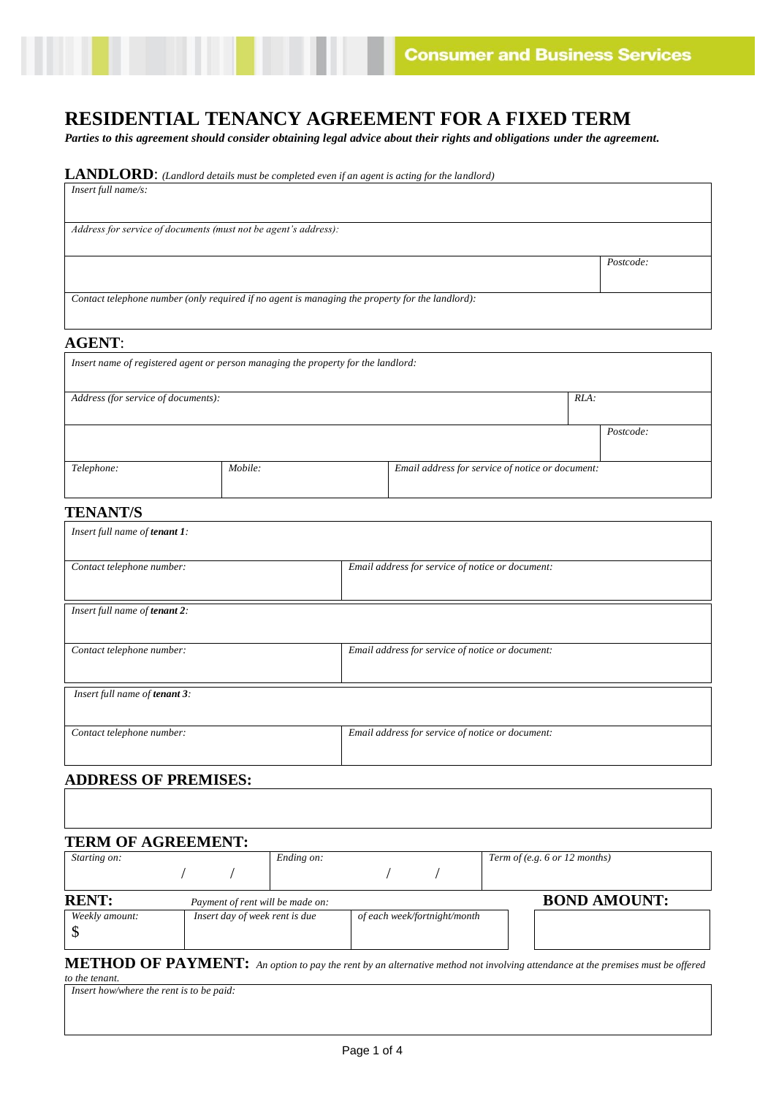*Postcode:*

# **RESIDENTIAL TENANCY AGREEMENT FOR A FIXED TERM**

*Parties to this agreement should consider obtaining legal advice about their rights and obligations under the agreement.*

| <b>LANDLORD:</b> (Landlord details must be completed even if an agent is acting for the landlord) |  |
|---------------------------------------------------------------------------------------------------|--|
| $Insert full name/s$ :                                                                            |  |

*Address for service of documents (must not be agent's address):*

*Contact telephone number (only required if no agent is managing the property for the landlord):*

## **AGENT**:

| Insert name of registered agent or person managing the property for the landlord: |                                                  |  |  |           |  |
|-----------------------------------------------------------------------------------|--------------------------------------------------|--|--|-----------|--|
| $RLA$ :<br>Address (for service of documents):                                    |                                                  |  |  |           |  |
|                                                                                   |                                                  |  |  | Postcode: |  |
| Telephone:                                                                        | Email address for service of notice or document: |  |  |           |  |

## **TENANT/S**

| Insert full name of tenant 1: |                                                  |  |
|-------------------------------|--------------------------------------------------|--|
| Contact telephone number:     | Email address for service of notice or document: |  |
| Insert full name of tenant 2: |                                                  |  |
| Contact telephone number:     | Email address for service of notice or document: |  |
| Insert full name of tenant 3: |                                                  |  |
| Contact telephone number:     | Email address for service of notice or document: |  |
| A DDDECC AE DDEMICEC.         |                                                  |  |

#### **ADDRESS OF PREMISES:**

| Starting on:   |  | Ending on:                       |                              |  | Term of (e.g. $6$ or 12 months) |
|----------------|--|----------------------------------|------------------------------|--|---------------------------------|
|                |  |                                  |                              |  |                                 |
| <b>RENT:</b>   |  | Payment of rent will be made on: |                              |  | <b>BOND AMOUNT:</b>             |
| Weekly amount: |  | Insert day of week rent is due   | of each week/fortnight/month |  |                                 |

**METHOD OF PAYMENT:** *An option to pay the rent by an alternative method not involving attendance at the premises must be offered to the tenant.*

| Insert how/where the rent is to be paid: |  |
|------------------------------------------|--|
|------------------------------------------|--|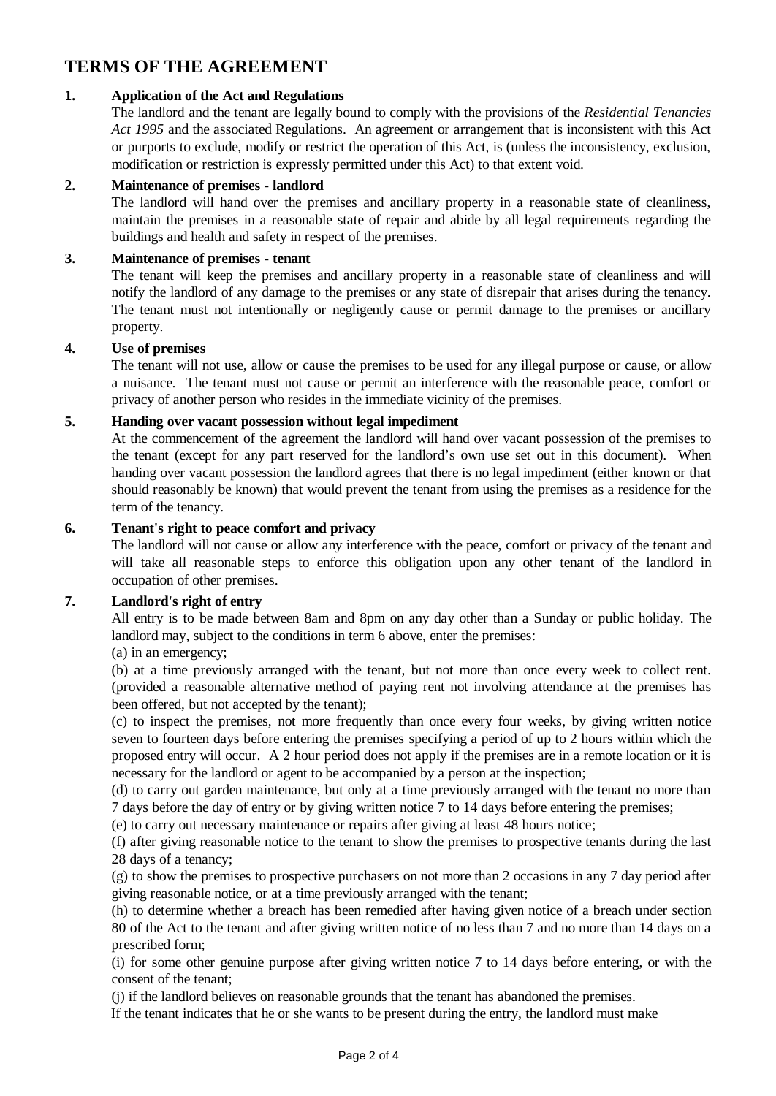## **TERMS OF THE AGREEMENT**

## **1. Application of the Act and Regulations**

The landlord and the tenant are legally bound to comply with the provisions of the *Residential Tenancies Act 1995* and the associated Regulations. An agreement or arrangement that is inconsistent with this Act or purports to exclude, modify or restrict the operation of this Act, is (unless the inconsistency, exclusion, modification or restriction is expressly permitted under this Act) to that extent void.

## **2. Maintenance of premises - landlord**

The landlord will hand over the premises and ancillary property in a reasonable state of cleanliness, maintain the premises in a reasonable state of repair and abide by all legal requirements regarding the buildings and health and safety in respect of the premises.

## **3. Maintenance of premises - tenant**

The tenant will keep the premises and ancillary property in a reasonable state of cleanliness and will notify the landlord of any damage to the premises or any state of disrepair that arises during the tenancy. The tenant must not intentionally or negligently cause or permit damage to the premises or ancillary property.

## **4. Use of premises**

The tenant will not use, allow or cause the premises to be used for any illegal purpose or cause, or allow a nuisance. The tenant must not cause or permit an interference with the reasonable peace, comfort or privacy of another person who resides in the immediate vicinity of the premises.

## **5. Handing over vacant possession without legal impediment**

At the commencement of the agreement the landlord will hand over vacant possession of the premises to the tenant (except for any part reserved for the landlord's own use set out in this document). When handing over vacant possession the landlord agrees that there is no legal impediment (either known or that should reasonably be known) that would prevent the tenant from using the premises as a residence for the term of the tenancy.

#### **6. Tenant's right to peace comfort and privacy**

The landlord will not cause or allow any interference with the peace, comfort or privacy of the tenant and will take all reasonable steps to enforce this obligation upon any other tenant of the landlord in occupation of other premises.

## **7. Landlord's right of entry**

All entry is to be made between 8am and 8pm on any day other than a Sunday or public holiday. The landlord may, subject to the conditions in term 6 above, enter the premises:

## (a) in an emergency;

(b) at a time previously arranged with the tenant, but not more than once every week to collect rent. (provided a reasonable alternative method of paying rent not involving attendance at the premises has been offered, but not accepted by the tenant);

(c) to inspect the premises, not more frequently than once every four weeks, by giving written notice seven to fourteen days before entering the premises specifying a period of up to 2 hours within which the proposed entry will occur. A 2 hour period does not apply if the premises are in a remote location or it is necessary for the landlord or agent to be accompanied by a person at the inspection;

(d) to carry out garden maintenance, but only at a time previously arranged with the tenant no more than 7 days before the day of entry or by giving written notice 7 to 14 days before entering the premises;

(e) to carry out necessary maintenance or repairs after giving at least 48 hours notice;

(f) after giving reasonable notice to the tenant to show the premises to prospective tenants during the last 28 days of a tenancy;

(g) to show the premises to prospective purchasers on not more than 2 occasions in any 7 day period after giving reasonable notice, or at a time previously arranged with the tenant;

(h) to determine whether a breach has been remedied after having given notice of a breach under section 80 of the Act to the tenant and after giving written notice of no less than 7 and no more than 14 days on a prescribed form;

(i) for some other genuine purpose after giving written notice 7 to 14 days before entering, or with the consent of the tenant;

(j) if the landlord believes on reasonable grounds that the tenant has abandoned the premises.

If the tenant indicates that he or she wants to be present during the entry, the landlord must make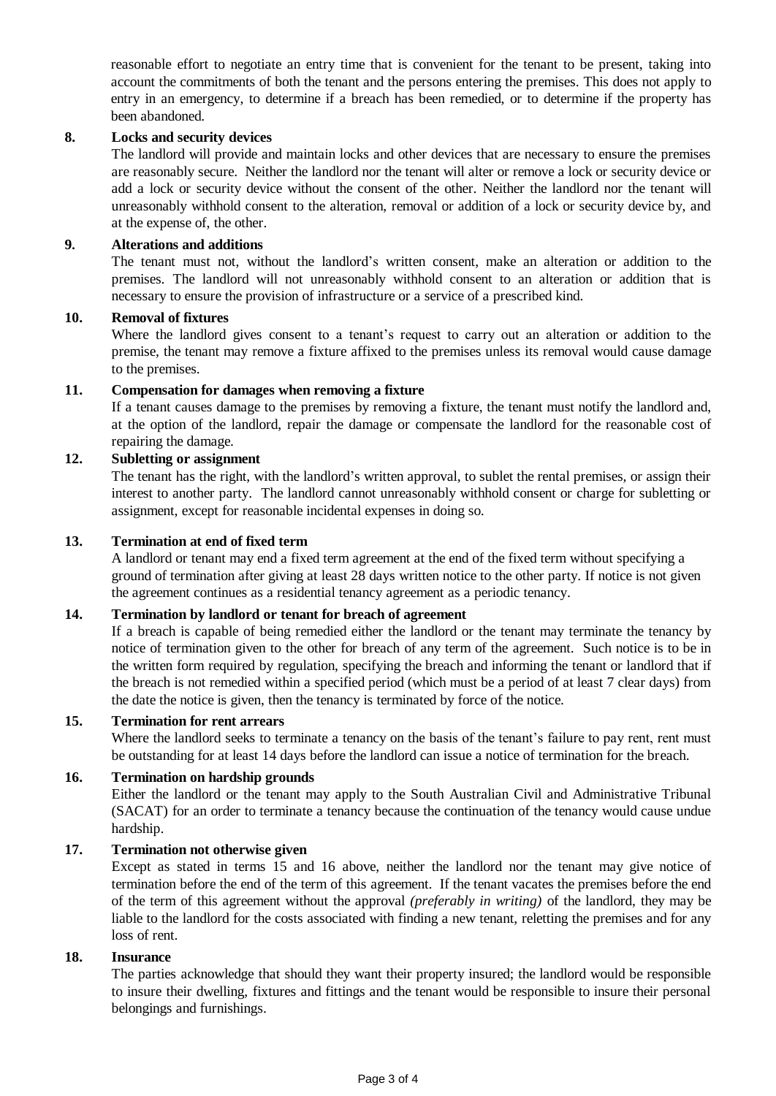reasonable effort to negotiate an entry time that is convenient for the tenant to be present, taking into account the commitments of both the tenant and the persons entering the premises. This does not apply to entry in an emergency, to determine if a breach has been remedied, or to determine if the property has been abandoned.

#### **8. Locks and security devices**

The landlord will provide and maintain locks and other devices that are necessary to ensure the premises are reasonably secure. Neither the landlord nor the tenant will alter or remove a lock or security device or add a lock or security device without the consent of the other. Neither the landlord nor the tenant will unreasonably withhold consent to the alteration, removal or addition of a lock or security device by, and at the expense of, the other.

#### **9. Alterations and additions**

The tenant must not, without the landlord's written consent, make an alteration or addition to the premises. The landlord will not unreasonably withhold consent to an alteration or addition that is necessary to ensure the provision of infrastructure or a service of a prescribed kind.

#### **10. Removal of fixtures**

Where the landlord gives consent to a tenant's request to carry out an alteration or addition to the premise, the tenant may remove a fixture affixed to the premises unless its removal would cause damage to the premises.

## **11. Compensation for damages when removing a fixture**

If a tenant causes damage to the premises by removing a fixture, the tenant must notify the landlord and, at the option of the landlord, repair the damage or compensate the landlord for the reasonable cost of repairing the damage.

## **12. Subletting or assignment**

The tenant has the right, with the landlord's written approval, to sublet the rental premises, or assign their interest to another party. The landlord cannot unreasonably withhold consent or charge for subletting or assignment, except for reasonable incidental expenses in doing so.

#### **13. Termination at end of fixed term**

A landlord or tenant may end a fixed term agreement at the end of the fixed term without specifying a ground of termination after giving at least 28 days written notice to the other party. If notice is not given the agreement continues as a residential tenancy agreement as a periodic tenancy.

#### **14. Termination by landlord or tenant for breach of agreement**

If a breach is capable of being remedied either the landlord or the tenant may terminate the tenancy by notice of termination given to the other for breach of any term of the agreement. Such notice is to be in the written form required by regulation, specifying the breach and informing the tenant or landlord that if the breach is not remedied within a specified period (which must be a period of at least 7 clear days) from the date the notice is given, then the tenancy is terminated by force of the notice.

## **15. Termination for rent arrears**

Where the landlord seeks to terminate a tenancy on the basis of the tenant's failure to pay rent, rent must be outstanding for at least 14 days before the landlord can issue a notice of termination for the breach.

#### **16. Termination on hardship grounds**

Either the landlord or the tenant may apply to the South Australian Civil and Administrative Tribunal (SACAT) for an order to terminate a tenancy because the continuation of the tenancy would cause undue hardship.

## **17. Termination not otherwise given**

Except as stated in terms 15 and 16 above, neither the landlord nor the tenant may give notice of termination before the end of the term of this agreement. If the tenant vacates the premises before the end of the term of this agreement without the approval *(preferably in writing)* of the landlord, they may be liable to the landlord for the costs associated with finding a new tenant, reletting the premises and for any loss of rent.

#### **18. Insurance**

The parties acknowledge that should they want their property insured; the landlord would be responsible to insure their dwelling, fixtures and fittings and the tenant would be responsible to insure their personal belongings and furnishings.